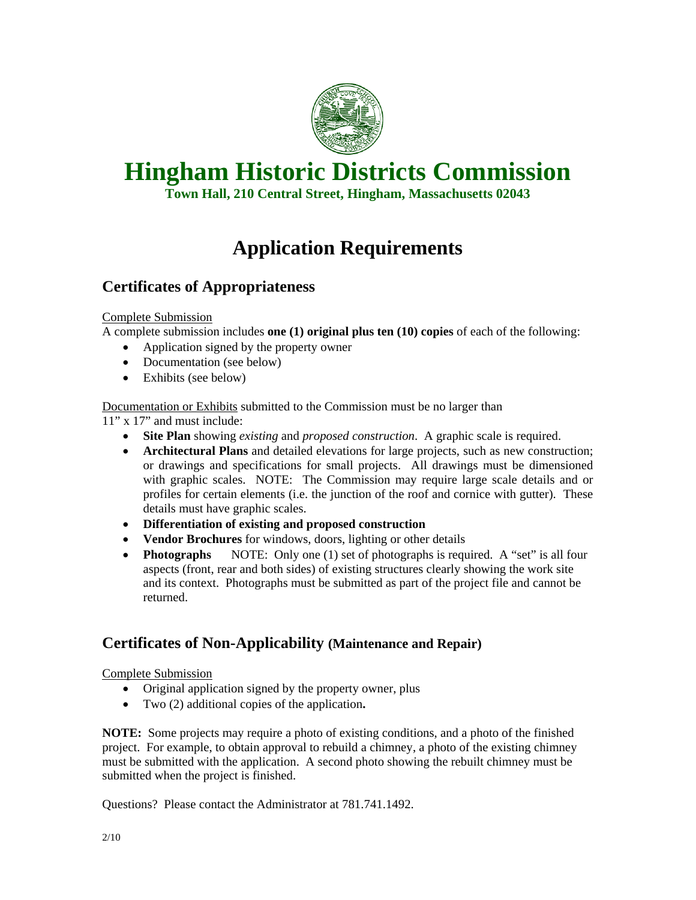

# **Hingham Historic Districts Commission**

**Town Hall, 210 Central Street, Hingham, Massachusetts 02043** 

## **Application Requirements**

#### **Certificates of Appropriateness**

#### Complete Submission

A complete submission includes **one (1) original plus ten (10) copies** of each of the following:

- Application signed by the property owner
- Documentation (see below)
- Exhibits (see below)

Documentation or Exhibits submitted to the Commission must be no larger than

11" x 17" and must include:

- **Site Plan** showing *existing* and *proposed construction*. A graphic scale is required.
- **Architectural Plans** and detailed elevations for large projects, such as new construction; or drawings and specifications for small projects. All drawings must be dimensioned with graphic scales.NOTE: The Commission may require large scale details and or profiles for certain elements (i.e. the junction of the roof and cornice with gutter). These details must have graphic scales.
- **Differentiation of existing and proposed construction**
- **Vendor Brochures** for windows, doors, lighting or other details
- **Photographs** NOTE: Only one (1) set of photographs is required. A "set" is all four aspects (front, rear and both sides) of existing structures clearly showing the work site and its context. Photographs must be submitted as part of the project file and cannot be returned.

### **Certificates of Non-Applicability (Maintenance and Repair)**

Complete Submission

- Original application signed by the property owner, plus
- Two (2) additional copies of the application**.**

**NOTE:** Some projects may require a photo of existing conditions, and a photo of the finished project. For example, to obtain approval to rebuild a chimney, a photo of the existing chimney must be submitted with the application. A second photo showing the rebuilt chimney must be submitted when the project is finished.

Questions? Please contact the Administrator at 781.741.1492.